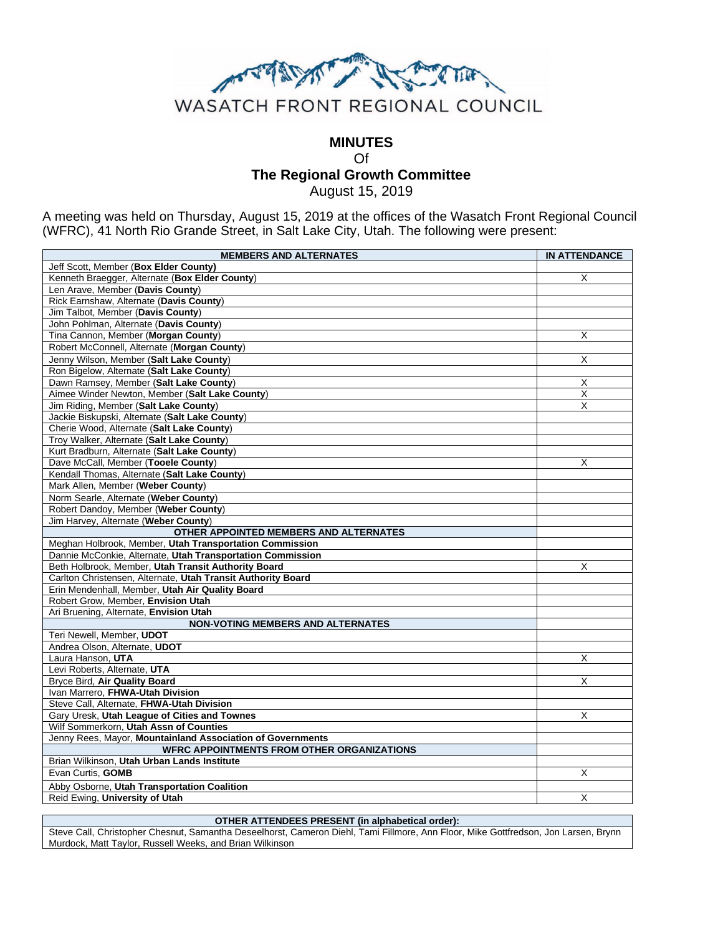

# **MINUTES** Of **The Regional Growth Committee** August 15, 2019

A meeting was held on Thursday, August 15, 2019 at the offices of the Wasatch Front Regional Council (WFRC), 41 North Rio Grande Street, in Salt Lake City, Utah. The following were present:

| <b>MEMBERS AND ALTERNATES</b>                                | <b>IN ATTENDANCE</b>    |
|--------------------------------------------------------------|-------------------------|
| Jeff Scott, Member (Box Elder County)                        |                         |
| Kenneth Braegger, Alternate (Box Elder County)               | X                       |
| Len Arave, Member (Davis County)                             |                         |
| Rick Earnshaw, Alternate (Davis County)                      |                         |
| Jim Talbot, Member (Davis County)                            |                         |
| John Pohlman, Alternate (Davis County)                       |                         |
| Tina Cannon, Member (Morgan County)                          | X                       |
| Robert McConnell, Alternate (Morgan County)                  |                         |
| Jenny Wilson, Member (Salt Lake County)                      | X                       |
| Ron Bigelow, Alternate (Salt Lake County)                    |                         |
| Dawn Ramsey, Member (Salt Lake County)                       | X                       |
| Aimee Winder Newton, Member (Salt Lake County)               | X                       |
| Jim Riding, Member (Salt Lake County)                        | X                       |
| Jackie Biskupski, Alternate (Salt Lake County)               |                         |
| Cherie Wood, Alternate (Salt Lake County)                    |                         |
| Troy Walker, Alternate (Salt Lake County)                    |                         |
| Kurt Bradburn, Alternate (Salt Lake County)                  |                         |
| Dave McCall, Member (Tooele County)                          | X                       |
| Kendall Thomas, Alternate (Salt Lake County)                 |                         |
| Mark Allen, Member (Weber County)                            |                         |
| Norm Searle, Alternate (Weber County)                        |                         |
| Robert Dandoy, Member (Weber County)                         |                         |
| Jim Harvey, Alternate (Weber County)                         |                         |
| OTHER APPOINTED MEMBERS AND ALTERNATES                       |                         |
| Meghan Holbrook, Member, Utah Transportation Commission      |                         |
| Dannie McConkie, Alternate, Utah Transportation Commission   |                         |
| Beth Holbrook, Member, Utah Transit Authority Board          | Χ                       |
| Carlton Christensen, Alternate, Utah Transit Authority Board |                         |
| Erin Mendenhall, Member, Utah Air Quality Board              |                         |
| Robert Grow, Member, Envision Utah                           |                         |
| Ari Bruening, Alternate, Envision Utah                       |                         |
| <b>NON-VOTING MEMBERS AND ALTERNATES</b>                     |                         |
| Teri Newell, Member, UDOT                                    |                         |
| Andrea Olson, Alternate, UDOT                                |                         |
| Laura Hanson, UTA                                            | X                       |
| Levi Roberts, Alternate, UTA                                 |                         |
| Bryce Bird, Air Quality Board                                | X                       |
| Ivan Marrero, FHWA-Utah Division                             |                         |
| Steve Call, Alternate, FHWA-Utah Division                    |                         |
| Gary Uresk, Utah League of Cities and Townes                 | X                       |
| Wilf Sommerkorn, Utah Assn of Counties                       |                         |
| Jenny Rees, Mayor, Mountainland Association of Governments   |                         |
| <b>WFRC APPOINTMENTS FROM OTHER ORGANIZATIONS</b>            |                         |
| Brian Wilkinson, Utah Urban Lands Institute                  |                         |
| Evan Curtis, GOMB                                            | $\overline{\mathsf{x}}$ |
| Abby Osborne, Utah Transportation Coalition                  |                         |
| Reid Ewing, University of Utah                               | X                       |

#### **OTHER ATTENDEES PRESENT (in alphabetical order):**

Steve Call, Christopher Chesnut, Samantha Deseelhorst, Cameron Diehl, Tami Fillmore, Ann Floor, Mike Gottfredson, Jon Larsen, Brynn Murdock, Matt Taylor, Russell Weeks, and Brian Wilkinson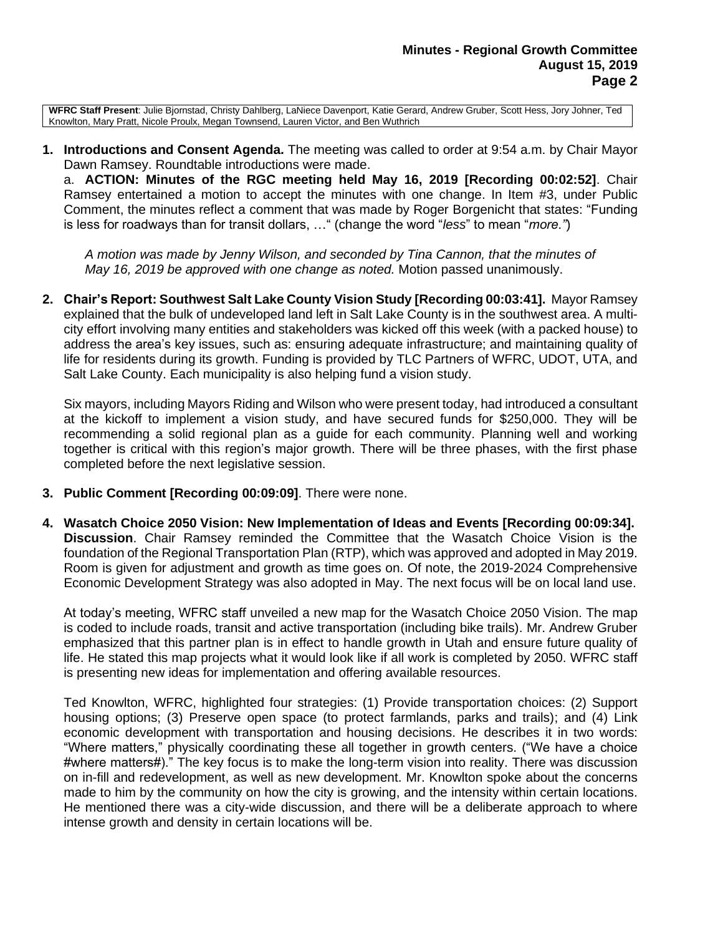**WFRC Staff Present**: Julie Bjornstad, Christy Dahlberg, LaNiece Davenport, Katie Gerard, Andrew Gruber, Scott Hess, Jory Johner, Ted Knowlton, Mary Pratt, Nicole Proulx, Megan Townsend, Lauren Victor, and Ben Wuthrich

**1. Introductions and Consent Agenda.** The meeting was called to order at 9:54 a.m. by Chair Mayor Dawn Ramsey. Roundtable introductions were made.

a. **ACTION: Minutes of the RGC meeting held May 16, 2019 [Recording 00:02:52]**. Chair Ramsey entertained a motion to accept the minutes with one change. In Item #3, under Public Comment, the minutes reflect a comment that was made by Roger Borgenicht that states: "Funding is less for roadways than for transit dollars, …" (change the word "*less*" to mean "*more."*)

*A motion was made by Jenny Wilson, and seconded by Tina Cannon, that the minutes of May 16, 2019 be approved with one change as noted.* Motion passed unanimously.

**2. Chair's Report: Southwest Salt Lake County Vision Study [Recording 00:03:41].** Mayor Ramsey explained that the bulk of undeveloped land left in Salt Lake County is in the southwest area. A multicity effort involving many entities and stakeholders was kicked off this week (with a packed house) to address the area's key issues, such as: ensuring adequate infrastructure; and maintaining quality of life for residents during its growth. Funding is provided by TLC Partners of WFRC, UDOT, UTA, and Salt Lake County. Each municipality is also helping fund a vision study.

Six mayors, including Mayors Riding and Wilson who were present today, had introduced a consultant at the kickoff to implement a vision study, and have secured funds for \$250,000. They will be recommending a solid regional plan as a guide for each community. Planning well and working together is critical with this region's major growth. There will be three phases, with the first phase completed before the next legislative session.

- **3. Public Comment [Recording 00:09:09]**. There were none.
- **4. Wasatch Choice 2050 Vision: New Implementation of Ideas and Events [Recording 00:09:34]. Discussion**. Chair Ramsey reminded the Committee that the Wasatch Choice Vision is the foundation of the Regional Transportation Plan (RTP), which was approved and adopted in May 2019. Room is given for adjustment and growth as time goes on. Of note, the 2019-2024 Comprehensive Economic Development Strategy was also adopted in May. The next focus will be on local land use.

At today's meeting, WFRC staff unveiled a new map for the Wasatch Choice 2050 Vision. The map is coded to include roads, transit and active transportation (including bike trails). Mr. Andrew Gruber emphasized that this partner plan is in effect to handle growth in Utah and ensure future quality of life. He stated this map projects what it would look like if all work is completed by 2050. WFRC staff is presenting new ideas for implementation and offering available resources.

Ted Knowlton, WFRC, highlighted four strategies: (1) Provide transportation choices: (2) Support housing options; (3) Preserve open space (to protect farmlands, parks and trails); and (4) Link economic development with transportation and housing decisions. He describes it in two words: "Where matters," physically coordinating these all together in growth centers. ("We have a choice #where matters#)." The key focus is to make the long-term vision into reality. There was discussion on in-fill and redevelopment, as well as new development. Mr. Knowlton spoke about the concerns made to him by the community on how the city is growing, and the intensity within certain locations. He mentioned there was a city-wide discussion, and there will be a deliberate approach to where intense growth and density in certain locations will be.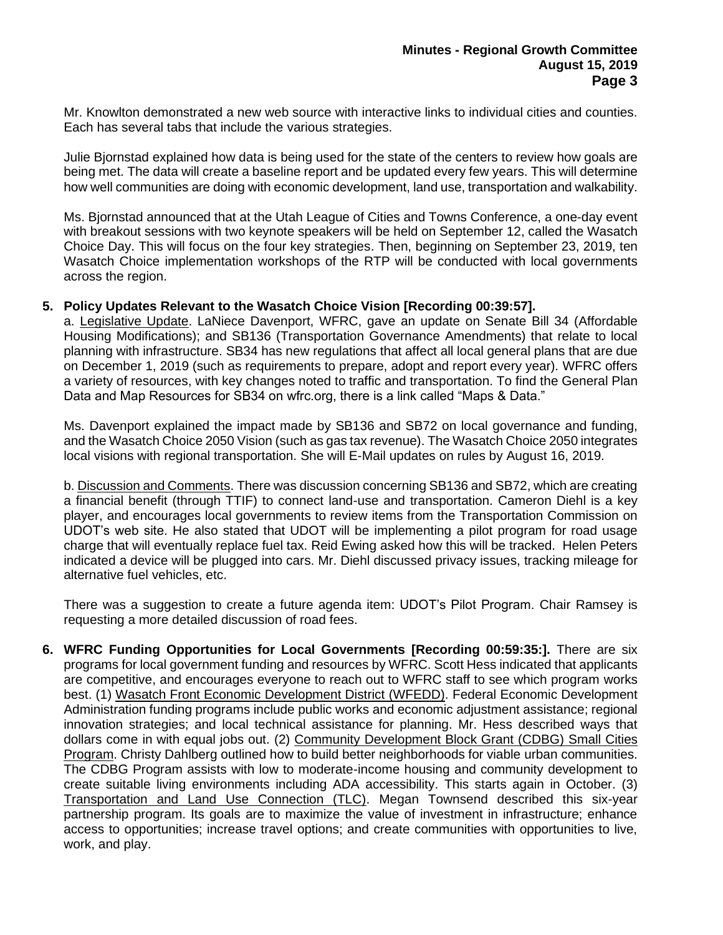Mr. Knowlton demonstrated a new web source with interactive links to individual cities and counties. Each has several tabs that include the various strategies.

Julie Bjornstad explained how data is being used for the state of the centers to review how goals are being met. The data will create a baseline report and be updated every few years. This will determine how well communities are doing with economic development, land use, transportation and walkability.

Ms. Bjornstad announced that at the Utah League of Cities and Towns Conference, a one-day event with breakout sessions with two keynote speakers will be held on September 12, called the Wasatch Choice Day. This will focus on the four key strategies. Then, beginning on September 23, 2019, ten Wasatch Choice implementation workshops of the RTP will be conducted with local governments across the region.

## **5. Policy Updates Relevant to the Wasatch Choice Vision [Recording 00:39:57].**

a. Legislative Update. LaNiece Davenport, WFRC, gave an update on Senate Bill 34 (Affordable Housing Modifications); and SB136 (Transportation Governance Amendments) that relate to local planning with infrastructure. SB34 has new regulations that affect all local general plans that are due on December 1, 2019 (such as requirements to prepare, adopt and report every year). WFRC offers a variety of resources, with key changes noted to traffic and transportation. To find the General Plan Data and Map Resources for SB34 on wfrc.org, there is a link called "Maps & Data."

Ms. Davenport explained the impact made by SB136 and SB72 on local governance and funding, and the Wasatch Choice 2050 Vision (such as gas tax revenue). The Wasatch Choice 2050 integrates local visions with regional transportation. She will E-Mail updates on rules by August 16, 2019.

b. Discussion and Comments. There was discussion concerning SB136 and SB72, which are creating a financial benefit (through TTIF) to connect land-use and transportation. Cameron Diehl is a key player, and encourages local governments to review items from the Transportation Commission on UDOT's web site. He also stated that UDOT will be implementing a pilot program for road usage charge that will eventually replace fuel tax. Reid Ewing asked how this will be tracked. Helen Peters indicated a device will be plugged into cars. Mr. Diehl discussed privacy issues, tracking mileage for alternative fuel vehicles, etc.

There was a suggestion to create a future agenda item: UDOT's Pilot Program. Chair Ramsey is requesting a more detailed discussion of road fees.

**6. WFRC Funding Opportunities for Local Governments [Recording 00:59:35:].** There are six programs for local government funding and resources by WFRC. Scott Hess indicated that applicants are competitive, and encourages everyone to reach out to WFRC staff to see which program works best. (1) Wasatch Front Economic Development District (WFEDD). Federal Economic Development Administration funding programs include public works and economic adjustment assistance; regional innovation strategies; and local technical assistance for planning. Mr. Hess described ways that dollars come in with equal jobs out. (2) Community Development Block Grant (CDBG) Small Cities Program. Christy Dahlberg outlined how to build better neighborhoods for viable urban communities. The CDBG Program assists with low to moderate-income housing and community development to create suitable living environments including ADA accessibility. This starts again in October. (3) Transportation and Land Use Connection (TLC). Megan Townsend described this six-year partnership program. Its goals are to maximize the value of investment in infrastructure; enhance access to opportunities; increase travel options; and create communities with opportunities to live, work, and play.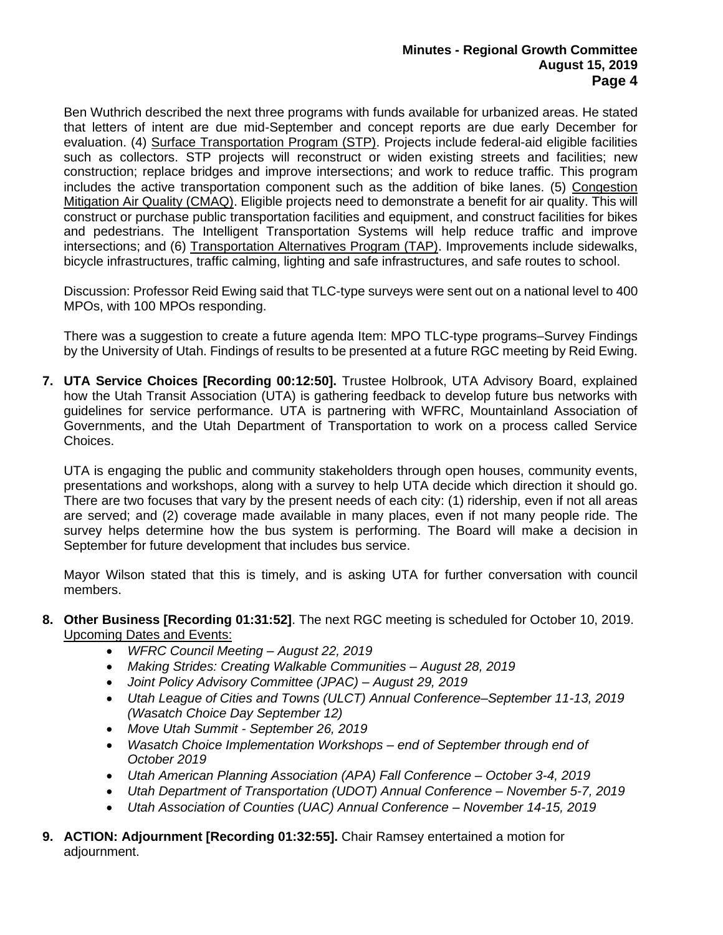## **Minutes - Regional Growth Committee August 15, 2019 Page 4**

Ben Wuthrich described the next three programs with funds available for urbanized areas. He stated that letters of intent are due mid-September and concept reports are due early December for evaluation. (4) Surface Transportation Program (STP). Projects include federal-aid eligible facilities such as collectors. STP projects will reconstruct or widen existing streets and facilities; new construction; replace bridges and improve intersections; and work to reduce traffic. This program includes the active transportation component such as the addition of bike lanes. (5) Congestion Mitigation Air Quality (CMAQ). Eligible projects need to demonstrate a benefit for air quality. This will construct or purchase public transportation facilities and equipment, and construct facilities for bikes and pedestrians. The Intelligent Transportation Systems will help reduce traffic and improve intersections; and (6) Transportation Alternatives Program (TAP). Improvements include sidewalks, bicycle infrastructures, traffic calming, lighting and safe infrastructures, and safe routes to school.

Discussion: Professor Reid Ewing said that TLC-type surveys were sent out on a national level to 400 MPOs, with 100 MPOs responding.

There was a suggestion to create a future agenda Item: MPO TLC-type programs–Survey Findings by the University of Utah. Findings of results to be presented at a future RGC meeting by Reid Ewing.

**7. UTA Service Choices [Recording 00:12:50].** Trustee Holbrook, UTA Advisory Board, explained how the Utah Transit Association (UTA) is gathering feedback to develop future bus networks with guidelines for service performance. UTA is partnering with WFRC, Mountainland Association of Governments, and the Utah Department of Transportation to work on a process called Service Choices.

UTA is engaging the public and community stakeholders through open houses, community events, presentations and workshops, along with a survey to help UTA decide which direction it should go. There are two focuses that vary by the present needs of each city: (1) ridership, even if not all areas are served; and (2) coverage made available in many places, even if not many people ride. The survey helps determine how the bus system is performing. The Board will make a decision in September for future development that includes bus service.

Mayor Wilson stated that this is timely, and is asking UTA for further conversation with council members.

- **8. Other Business [Recording 01:31:52]**. The next RGC meeting is scheduled for October 10, 2019. Upcoming Dates and Events:
	- *WFRC Council Meeting – August 22, 2019*
	- *Making Strides: Creating Walkable Communities – August 28, 2019*
	- *Joint Policy Advisory Committee (JPAC) – August 29, 2019*
	- *Utah League of Cities and Towns (ULCT) Annual Conference–September 11-13, 2019 (Wasatch Choice Day September 12)*
	- *Move Utah Summit - September 26, 2019*
	- *Wasatch Choice Implementation Workshops – end of September through end of October 2019*
	- *Utah American Planning Association (APA) Fall Conference – October 3-4, 2019*
	- *Utah Department of Transportation (UDOT) Annual Conference – November 5-7, 2019*
	- *Utah Association of Counties (UAC) Annual Conference – November 14-15, 2019*
- **9. ACTION: Adjournment [Recording 01:32:55].** Chair Ramsey entertained a motion for adjournment.